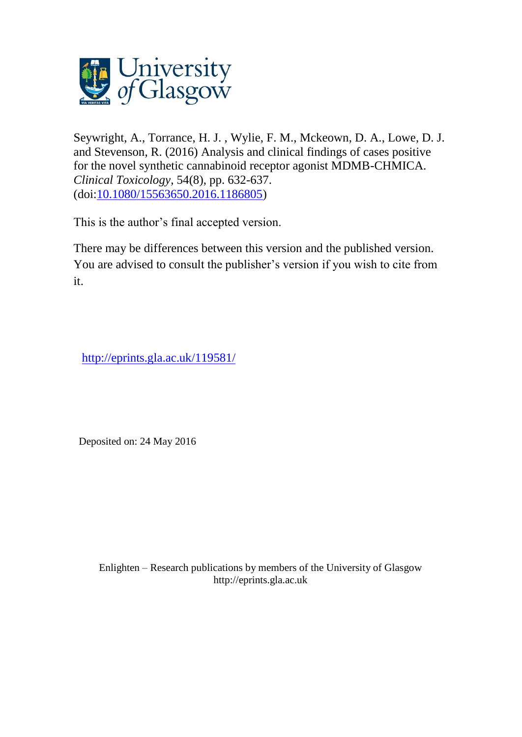

Seywright, A., Torrance, H. J. , Wylie, F. M., Mckeown, D. A., Lowe, D. J. and Stevenson, R. (2016) Analysis and clinical findings of cases positive for the novel synthetic cannabinoid receptor agonist MDMB-CHMICA. *Clinical Toxicology*, 54(8), pp. 632-637. (doi[:10.1080/15563650.2016.1186805\)](http://dx.doi.org/10.1080/15563650.2016.1186805)

This is the author's final accepted version.

There may be differences between this version and the published version. You are advised to consult the publisher's version if you wish to cite from it.

<http://eprints.gla.ac.uk/119581/>

Deposited on: 24 May 2016

Enlighten – Research publications by members of the University of Glasgo[w](http://eprints.gla.ac.uk/) [http://eprints.gla.ac.uk](http://eprints.gla.ac.uk/)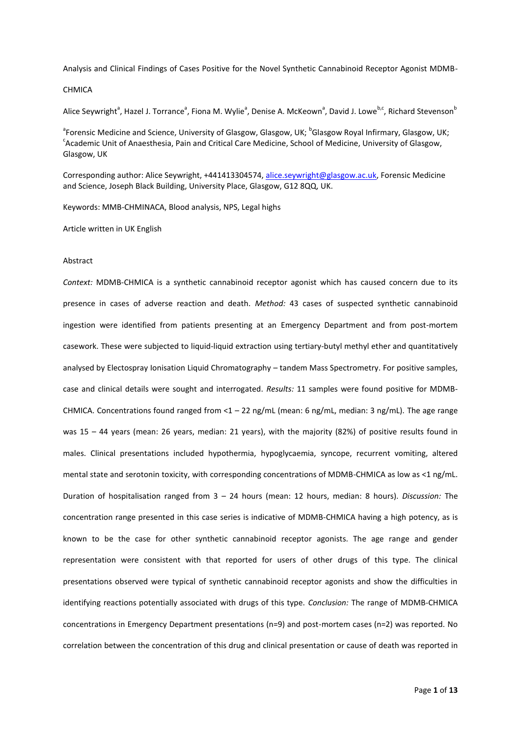Analysis and Clinical Findings of Cases Positive for the Novel Synthetic Cannabinoid Receptor Agonist MDMB-

### CHMICA

Alice Seywright<sup>a</sup>, Hazel J. Torrance<sup>a</sup>, Fiona M. Wylie<sup>a</sup>, Denise A. McKeown<sup>a</sup>, David J. Lowe<sup>b,c</sup>, Richard Stevenson<sup>b</sup>

<sup>a</sup>Forensic Medicine and Science, University of Glasgow, Glasgow, UK; <sup>b</sup>Glasgow Royal Infirmary, Glasgow, UK; <sup>c</sup>Academic Unit of Anaesthesia, Pain and Critical Care Medicine, School of Medicine, University of Glasgow, Glasgow, UK

Corresponding author: Alice Seywright, +441413304574, [alice.seywright@glasgow.ac.uk,](mailto:alice.seywright@glasgow.ac.uk) Forensic Medicine and Science, Joseph Black Building, University Place, Glasgow, G12 8QQ, UK.

Keywords: MMB-CHMINACA, Blood analysis, NPS, Legal highs

Article written in UK English

## Abstract

*Context:* MDMB-CHMICA is a synthetic cannabinoid receptor agonist which has caused concern due to its presence in cases of adverse reaction and death. *Method:* 43 cases of suspected synthetic cannabinoid ingestion were identified from patients presenting at an Emergency Department and from post-mortem casework. These were subjected to liquid-liquid extraction using tertiary-butyl methyl ether and quantitatively analysed by Electospray Ionisation Liquid Chromatography – tandem Mass Spectrometry. For positive samples, case and clinical details were sought and interrogated. *Results:* 11 samples were found positive for MDMB-CHMICA. Concentrations found ranged from  $\langle 1 - 22 \text{ ng/mL}$  (mean: 6 ng/mL, median: 3 ng/mL). The age range was 15 – 44 years (mean: 26 years, median: 21 years), with the majority (82%) of positive results found in males. Clinical presentations included hypothermia, hypoglycaemia, syncope, recurrent vomiting, altered mental state and serotonin toxicity, with corresponding concentrations of MDMB-CHMICA as low as <1 ng/mL. Duration of hospitalisation ranged from 3 – 24 hours (mean: 12 hours, median: 8 hours). *Discussion:* The concentration range presented in this case series is indicative of MDMB-CHMICA having a high potency, as is known to be the case for other synthetic cannabinoid receptor agonists. The age range and gender representation were consistent with that reported for users of other drugs of this type. The clinical presentations observed were typical of synthetic cannabinoid receptor agonists and show the difficulties in identifying reactions potentially associated with drugs of this type. *Conclusion:* The range of MDMB-CHMICA concentrations in Emergency Department presentations (n=9) and post-mortem cases (n=2) was reported. No correlation between the concentration of this drug and clinical presentation or cause of death was reported in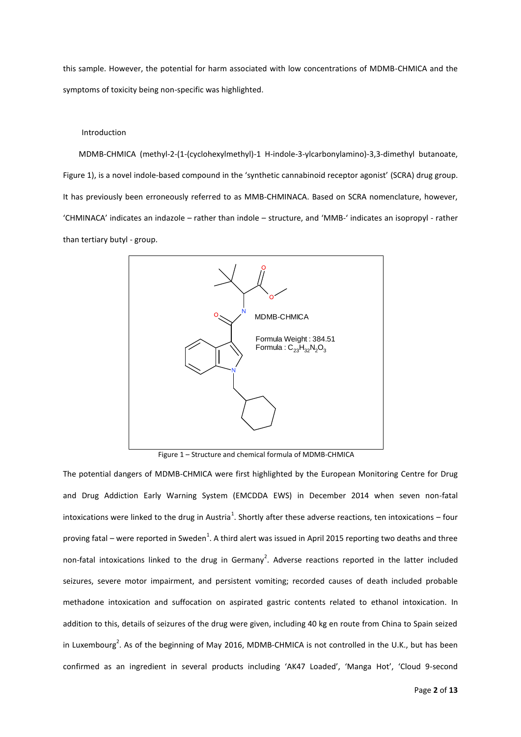this sample. However, the potential for harm associated with low concentrations of MDMB-CHMICA and the symptoms of toxicity being non-specific was highlighted.

## Introduction

MDMB-CHMICA (methyl-2-(1-(cyclohexylmethyl)-1 H-indole-3-ylcarbonylamino)-3,3-dimethyl butanoate, [Figure 1\)](#page-2-0), is a novel indole-based compound in the 'synthetic cannabinoid receptor agonist' (SCRA) drug group. It has previously been erroneously referred to as MMB-CHMINACA. Based on SCRA nomenclature, however, 'CHMINACA' indicates an indazole – rather than indole – structure, and 'MMB-' indicates an isopropyl - rather than tertiary butyl - group.



<span id="page-2-0"></span>Figure 1 – Structure and chemical formula of MDMB-CHMICA

The potential dangers of MDMB-CHMICA were first highlighted by the European Monitoring Centre for Drug and Drug Addiction Early Warning System (EMCDDA EWS) in December 2014 when seven non-fatal intoxications were linked to the drug in Austria<sup>1</sup>. Shortly after these adverse reactions, ten intoxications – four proving fatal – were reported in Sweden<sup>1</sup>. A third alert was issued in April 2015 reporting two deaths and three non-fatal intoxications linked to the drug in Germany<sup>2</sup>. Adverse reactions reported in the latter included seizures, severe motor impairment, and persistent vomiting; recorded causes of death included probable methadone intoxication and suffocation on aspirated gastric contents related to ethanol intoxication. In addition to this, details of seizures of the drug were given, including 40 kg en route from China to Spain seized in Luxembourg<sup>2</sup>. As of the beginning of May 2016, MDMB-CHMICA is not controlled in the U.K., but has been confirmed as an ingredient in several products including 'AK47 Loaded', 'Manga Hot', 'Cloud 9-second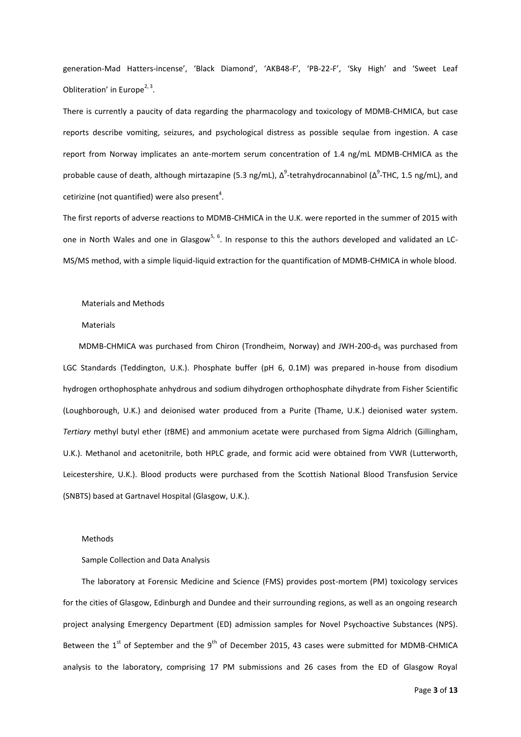generation-Mad Hatters-incense', 'Black Diamond', 'AKB48-F', 'PB-22-F', 'Sky High' and 'Sweet Leaf Obliteration' in Europe<sup>2, 3</sup>.

There is currently a paucity of data regarding the pharmacology and toxicology of MDMB-CHMICA, but case reports describe vomiting, seizures, and psychological distress as possible sequlae from ingestion. A case report from Norway implicates an ante-mortem serum concentration of 1.4 ng/mL MDMB-CHMICA as the probable cause of death, although mirtazapine (5.3 ng/mL), Δ<sup>9</sup>-tetrahydrocannabinol (Δ<sup>9</sup>-THC, 1.5 ng/mL), and cetirizine (not quantified) were also present<sup>4</sup>.

The first reports of adverse reactions to MDMB-CHMICA in the U.K. were reported in the summer of 2015 with one in North Wales and one in Glasgow<sup>5, 6</sup>. In response to this the authors developed and validated an LC-MS/MS method, with a simple liquid-liquid extraction for the quantification of MDMB-CHMICA in whole blood.

#### Materials and Methods

## **Materials**

MDMB-CHMICA was purchased from Chiron (Trondheim, Norway) and JWH-200-d<sub>5</sub> was purchased from LGC Standards (Teddington, U.K.). Phosphate buffer (pH 6, 0.1M) was prepared in-house from disodium hydrogen orthophosphate anhydrous and sodium dihydrogen orthophosphate dihydrate from Fisher Scientific (Loughborough, U.K.) and deionised water produced from a Purite (Thame, U.K.) deionised water system. *Tertiary* methyl butyl ether (*t*BME) and ammonium acetate were purchased from Sigma Aldrich (Gillingham, U.K.). Methanol and acetonitrile, both HPLC grade, and formic acid were obtained from VWR (Lutterworth, Leicestershire, U.K.). Blood products were purchased from the Scottish National Blood Transfusion Service (SNBTS) based at Gartnavel Hospital (Glasgow, U.K.).

### Methods

# Sample Collection and Data Analysis

The laboratory at Forensic Medicine and Science (FMS) provides post-mortem (PM) toxicology services for the cities of Glasgow, Edinburgh and Dundee and their surrounding regions, as well as an ongoing research project analysing Emergency Department (ED) admission samples for Novel Psychoactive Substances (NPS). Between the  $1^{st}$  of September and the  $9^{th}$  of December 2015, 43 cases were submitted for MDMB-CHMICA analysis to the laboratory, comprising 17 PM submissions and 26 cases from the ED of Glasgow Royal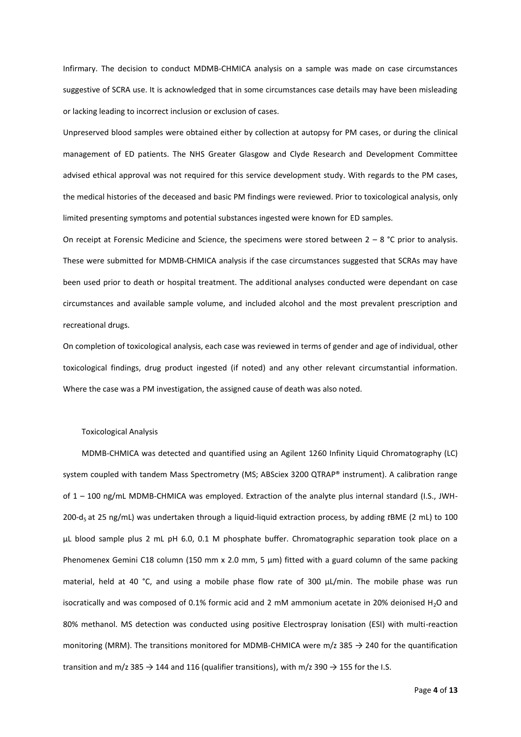Infirmary. The decision to conduct MDMB-CHMICA analysis on a sample was made on case circumstances suggestive of SCRA use. It is acknowledged that in some circumstances case details may have been misleading or lacking leading to incorrect inclusion or exclusion of cases.

Unpreserved blood samples were obtained either by collection at autopsy for PM cases, or during the clinical management of ED patients. The NHS Greater Glasgow and Clyde Research and Development Committee advised ethical approval was not required for this service development study. With regards to the PM cases, the medical histories of the deceased and basic PM findings were reviewed. Prior to toxicological analysis, only limited presenting symptoms and potential substances ingested were known for ED samples.

On receipt at Forensic Medicine and Science, the specimens were stored between  $2 - 8$  °C prior to analysis. These were submitted for MDMB-CHMICA analysis if the case circumstances suggested that SCRAs may have been used prior to death or hospital treatment. The additional analyses conducted were dependant on case circumstances and available sample volume, and included alcohol and the most prevalent prescription and recreational drugs.

On completion of toxicological analysis, each case was reviewed in terms of gender and age of individual, other toxicological findings, drug product ingested (if noted) and any other relevant circumstantial information. Where the case was a PM investigation, the assigned cause of death was also noted.

#### Toxicological Analysis

MDMB-CHMICA was detected and quantified using an Agilent 1260 Infinity Liquid Chromatography (LC) system coupled with tandem Mass Spectrometry (MS; ABSciex 3200 QTRAP® instrument). A calibration range of 1 – 100 ng/mL MDMB-CHMICA was employed. Extraction of the analyte plus internal standard (I.S., JWH-200-d5 at 25 ng/mL) was undertaken through a liquid-liquid extraction process, by adding *t*BME (2 mL) to 100 µL blood sample plus 2 mL pH 6.0, 0.1 M phosphate buffer. Chromatographic separation took place on a Phenomenex Gemini C18 column (150 mm x 2.0 mm, 5 μm) fitted with a guard column of the same packing material, held at 40 °C, and using a mobile phase flow rate of 300 µL/min. The mobile phase was run isocratically and was composed of 0.1% formic acid and 2 mM ammonium acetate in 20% deionised H<sub>2</sub>O and 80% methanol. MS detection was conducted using positive Electrospray Ionisation (ESI) with multi-reaction monitoring (MRM). The transitions monitored for MDMB-CHMICA were  $m/z$  385  $\rightarrow$  240 for the quantification transition and m/z 385  $\rightarrow$  144 and 116 (qualifier transitions), with m/z 390  $\rightarrow$  155 for the I.S.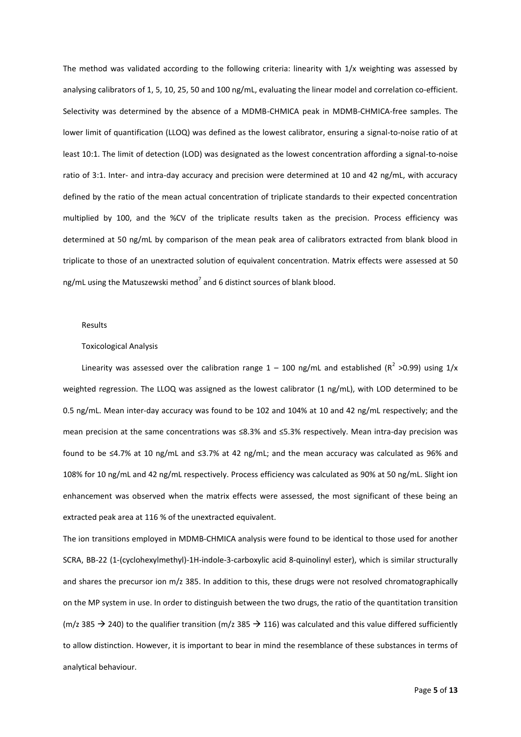The method was validated according to the following criteria: linearity with  $1/x$  weighting was assessed by analysing calibrators of 1, 5, 10, 25, 50 and 100 ng/mL, evaluating the linear model and correlation co-efficient. Selectivity was determined by the absence of a MDMB-CHMICA peak in MDMB-CHMICA-free samples. The lower limit of quantification (LLOQ) was defined as the lowest calibrator, ensuring a signal-to-noise ratio of at least 10:1. The limit of detection (LOD) was designated as the lowest concentration affording a signal-to-noise ratio of 3:1. Inter- and intra-day accuracy and precision were determined at 10 and 42 ng/mL, with accuracy defined by the ratio of the mean actual concentration of triplicate standards to their expected concentration multiplied by 100, and the %CV of the triplicate results taken as the precision. Process efficiency was determined at 50 ng/mL by comparison of the mean peak area of calibrators extracted from blank blood in triplicate to those of an unextracted solution of equivalent concentration. Matrix effects were assessed at 50 ng/mL using the Matuszewski method<sup>7</sup> and 6 distinct sources of blank blood.

## Results

#### Toxicological Analysis

Linearity was assessed over the calibration range  $1 - 100$  ng/mL and established (R<sup>2</sup> >0.99) using  $1/x$ weighted regression. The LLOQ was assigned as the lowest calibrator (1 ng/mL), with LOD determined to be 0.5 ng/mL. Mean inter-day accuracy was found to be 102 and 104% at 10 and 42 ng/mL respectively; and the mean precision at the same concentrations was ≤8.3% and ≤5.3% respectively. Mean intra-day precision was found to be ≤4.7% at 10 ng/mL and ≤3.7% at 42 ng/mL; and the mean accuracy was calculated as 96% and 108% for 10 ng/mL and 42 ng/mL respectively. Process efficiency was calculated as 90% at 50 ng/mL. Slight ion enhancement was observed when the matrix effects were assessed, the most significant of these being an extracted peak area at 116 % of the unextracted equivalent.

The ion transitions employed in MDMB-CHMICA analysis were found to be identical to those used for another SCRA, BB-22 (1-(cyclohexylmethyl)-1H-indole-3-carboxylic acid 8-quinolinyl ester), which is similar structurally and shares the precursor ion m/z 385. In addition to this, these drugs were not resolved chromatographically on the MP system in use. In order to distinguish between the two drugs, the ratio of the quantitation transition  $(m/z 385 \rightarrow 240)$  to the qualifier transition  $(m/z 385 \rightarrow 116)$  was calculated and this value differed sufficiently to allow distinction. However, it is important to bear in mind the resemblance of these substances in terms of analytical behaviour.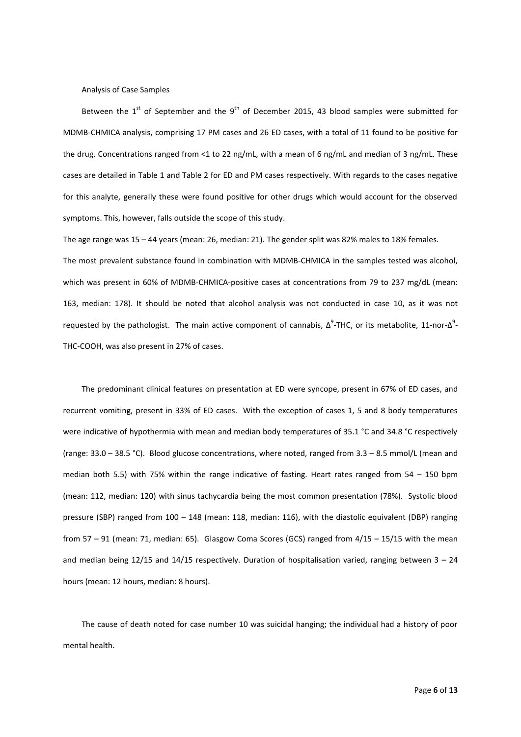Analysis of Case Samples

Between the  $1<sup>st</sup>$  of September and the  $9<sup>th</sup>$  of December 2015, 43 blood samples were submitted for MDMB-CHMICA analysis, comprising 17 PM cases and 26 ED cases, with a total of 11 found to be positive for the drug. Concentrations ranged from <1 to 22 ng/mL, with a mean of 6 ng/mL and median of 3 ng/mL. These cases are detailed in [Table 1](#page-12-0) and [Table 2](#page-13-0) for ED and PM cases respectively. With regards to the cases negative for this analyte, generally these were found positive for other drugs which would account for the observed symptoms. This, however, falls outside the scope of this study.

The age range was 15 – 44 years (mean: 26, median: 21). The gender split was 82% males to 18% females. The most prevalent substance found in combination with MDMB-CHMICA in the samples tested was alcohol, which was present in 60% of MDMB-CHMICA-positive cases at concentrations from 79 to 237 mg/dL (mean: 163, median: 178). It should be noted that alcohol analysis was not conducted in case 10, as it was not requested by the pathologist. The main active component of cannabis,  $\Delta^9$ -THC, or its metabolite, 11-nor- $\Delta^9$ -THC-COOH, was also present in 27% of cases.

The predominant clinical features on presentation at ED were syncope, present in 67% of ED cases, and recurrent vomiting, present in 33% of ED cases. With the exception of cases 1, 5 and 8 body temperatures were indicative of hypothermia with mean and median body temperatures of 35.1 °C and 34.8 °C respectively (range: 33.0 – 38.5 °C). Blood glucose concentrations, where noted, ranged from 3.3 – 8.5 mmol/L (mean and median both 5.5) with 75% within the range indicative of fasting. Heart rates ranged from  $54 - 150$  bpm (mean: 112, median: 120) with sinus tachycardia being the most common presentation (78%). Systolic blood pressure (SBP) ranged from 100 – 148 (mean: 118, median: 116), with the diastolic equivalent (DBP) ranging from 57 – 91 (mean: 71, median: 65). Glasgow Coma Scores (GCS) ranged from 4/15 – 15/15 with the mean and median being 12/15 and 14/15 respectively. Duration of hospitalisation varied, ranging between 3 – 24 hours (mean: 12 hours, median: 8 hours).

The cause of death noted for case number 10 was suicidal hanging; the individual had a history of poor mental health.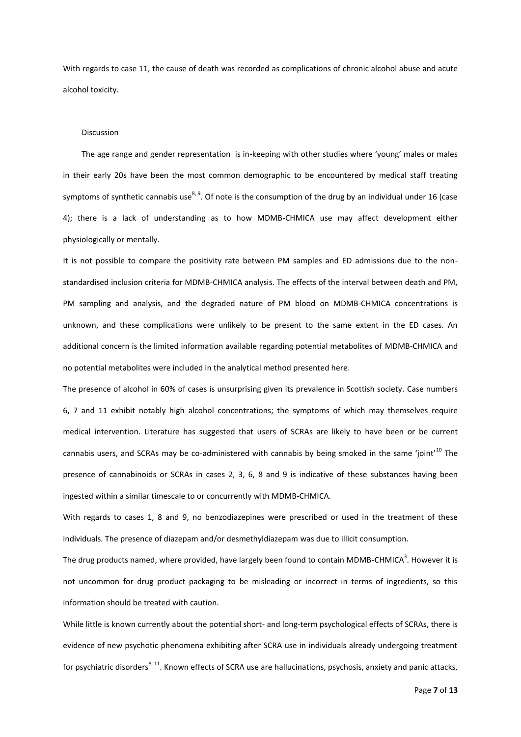With regards to case 11, the cause of death was recorded as complications of chronic alcohol abuse and acute alcohol toxicity.

## Discussion

The age range and gender representation is in-keeping with other studies where 'young' males or males in their early 20s have been the most common demographic to be encountered by medical staff treating symptoms of synthetic cannabis use<sup>8, 9</sup>. Of note is the consumption of the drug by an individual under 16 (case 4); there is a lack of understanding as to how MDMB-CHMICA use may affect development either physiologically or mentally.

It is not possible to compare the positivity rate between PM samples and ED admissions due to the nonstandardised inclusion criteria for MDMB-CHMICA analysis. The effects of the interval between death and PM, PM sampling and analysis, and the degraded nature of PM blood on MDMB-CHMICA concentrations is unknown, and these complications were unlikely to be present to the same extent in the ED cases. An additional concern is the limited information available regarding potential metabolites of MDMB-CHMICA and no potential metabolites were included in the analytical method presented here.

The presence of alcohol in 60% of cases is unsurprising given its prevalence in Scottish society. Case numbers 6, 7 and 11 exhibit notably high alcohol concentrations; the symptoms of which may themselves require medical intervention. Literature has suggested that users of SCRAs are likely to have been or be current cannabis users, and SCRAs may be co-administered with cannabis by being smoked in the same 'joint'<sup>10</sup> The presence of cannabinoids or SCRAs in cases 2, 3, 6, 8 and 9 is indicative of these substances having been ingested within a similar timescale to or concurrently with MDMB-CHMICA.

With regards to cases 1, 8 and 9, no benzodiazepines were prescribed or used in the treatment of these individuals. The presence of diazepam and/or desmethyldiazepam was due to illicit consumption.

The drug products named, where provided, have largely been found to contain MDMB-CHMICA<sup>3</sup>. However it is not uncommon for drug product packaging to be misleading or incorrect in terms of ingredients, so this information should be treated with caution.

While little is known currently about the potential short- and long-term psychological effects of SCRAs, there is evidence of new psychotic phenomena exhibiting after SCRA use in individuals already undergoing treatment for psychiatric disorders<sup>8, 11</sup>. Known effects of SCRA use are hallucinations, psychosis, anxiety and panic attacks,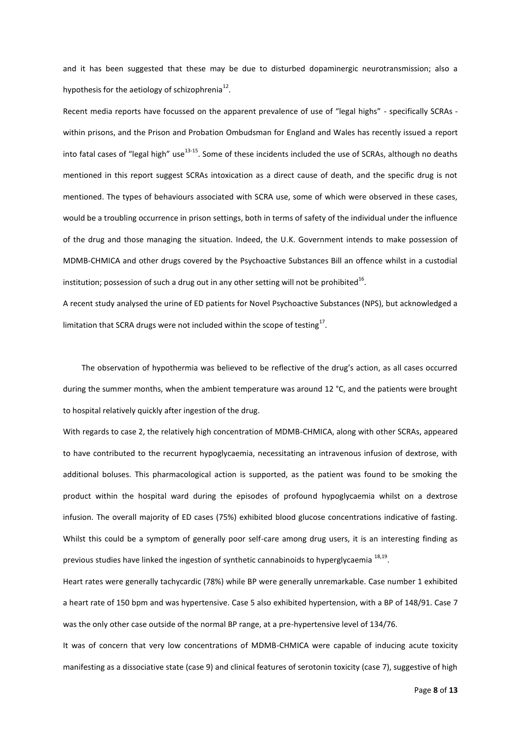and it has been suggested that these may be due to disturbed dopaminergic neurotransmission; also a hypothesis for the aetiology of schizophrenia $^{12}$ .

Recent media reports have focussed on the apparent prevalence of use of "legal highs" - specifically SCRAs within prisons, and the Prison and Probation Ombudsman for England and Wales has recently issued a report into fatal cases of "legal high" use $^{13\text{-}15}$ . Some of these incidents included the use of SCRAs, although no deaths mentioned in this report suggest SCRAs intoxication as a direct cause of death, and the specific drug is not mentioned. The types of behaviours associated with SCRA use, some of which were observed in these cases, would be a troubling occurrence in prison settings, both in terms of safety of the individual under the influence of the drug and those managing the situation. Indeed, the U.K. Government intends to make possession of MDMB-CHMICA and other drugs covered by the Psychoactive Substances Bill an offence whilst in a custodial institution; possession of such a drug out in any other setting will not be prohibited<sup>16</sup>.

A recent study analysed the urine of ED patients for Novel Psychoactive Substances (NPS), but acknowledged a limitation that SCRA drugs were not included within the scope of testing $^{17}$ .

The observation of hypothermia was believed to be reflective of the drug's action, as all cases occurred during the summer months, when the ambient temperature was around 12 °C, and the patients were brought to hospital relatively quickly after ingestion of the drug.

With regards to case 2, the relatively high concentration of MDMB-CHMICA, along with other SCRAs, appeared to have contributed to the recurrent hypoglycaemia, necessitating an intravenous infusion of dextrose, with additional boluses. This pharmacological action is supported, as the patient was found to be smoking the product within the hospital ward during the episodes of profound hypoglycaemia whilst on a dextrose infusion. The overall majority of ED cases (75%) exhibited blood glucose concentrations indicative of fasting. Whilst this could be a symptom of generally poor self-care among drug users, it is an interesting finding as previous studies have linked the ingestion of synthetic cannabinoids to hyperglycaemia  $^{18,19}$ .

Heart rates were generally tachycardic (78%) while BP were generally unremarkable. Case number 1 exhibited a heart rate of 150 bpm and was hypertensive. Case 5 also exhibited hypertension, with a BP of 148/91. Case 7 was the only other case outside of the normal BP range, at a pre-hypertensive level of 134/76.

It was of concern that very low concentrations of MDMB-CHMICA were capable of inducing acute toxicity manifesting as a dissociative state (case 9) and clinical features of serotonin toxicity (case 7), suggestive of high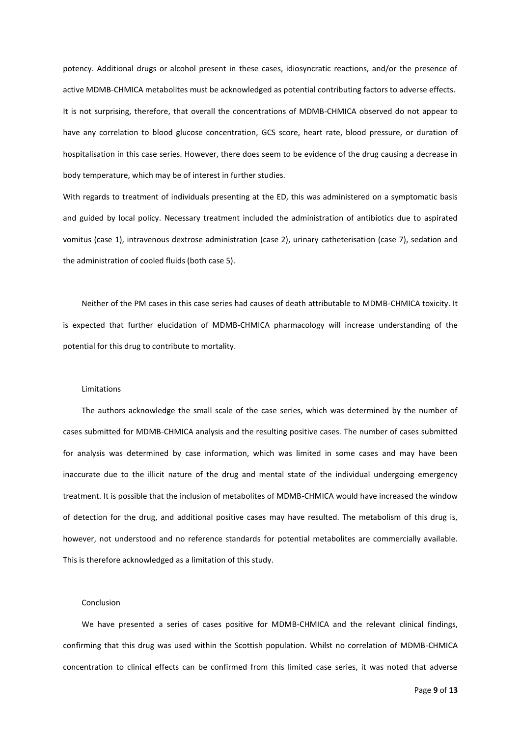potency. Additional drugs or alcohol present in these cases, idiosyncratic reactions, and/or the presence of active MDMB-CHMICA metabolites must be acknowledged as potential contributing factors to adverse effects. It is not surprising, therefore, that overall the concentrations of MDMB-CHMICA observed do not appear to have any correlation to blood glucose concentration, GCS score, heart rate, blood pressure, or duration of hospitalisation in this case series. However, there does seem to be evidence of the drug causing a decrease in body temperature, which may be of interest in further studies.

With regards to treatment of individuals presenting at the ED, this was administered on a symptomatic basis and guided by local policy. Necessary treatment included the administration of antibiotics due to aspirated vomitus (case 1), intravenous dextrose administration (case 2), urinary catheterisation (case 7), sedation and the administration of cooled fluids (both case 5).

Neither of the PM cases in this case series had causes of death attributable to MDMB-CHMICA toxicity. It is expected that further elucidation of MDMB-CHMICA pharmacology will increase understanding of the potential for this drug to contribute to mortality.

## Limitations

The authors acknowledge the small scale of the case series, which was determined by the number of cases submitted for MDMB-CHMICA analysis and the resulting positive cases. The number of cases submitted for analysis was determined by case information, which was limited in some cases and may have been inaccurate due to the illicit nature of the drug and mental state of the individual undergoing emergency treatment. It is possible that the inclusion of metabolites of MDMB-CHMICA would have increased the window of detection for the drug, and additional positive cases may have resulted. The metabolism of this drug is, however, not understood and no reference standards for potential metabolites are commercially available. This is therefore acknowledged as a limitation of this study.

## Conclusion

We have presented a series of cases positive for MDMB-CHMICA and the relevant clinical findings, confirming that this drug was used within the Scottish population. Whilst no correlation of MDMB-CHMICA concentration to clinical effects can be confirmed from this limited case series, it was noted that adverse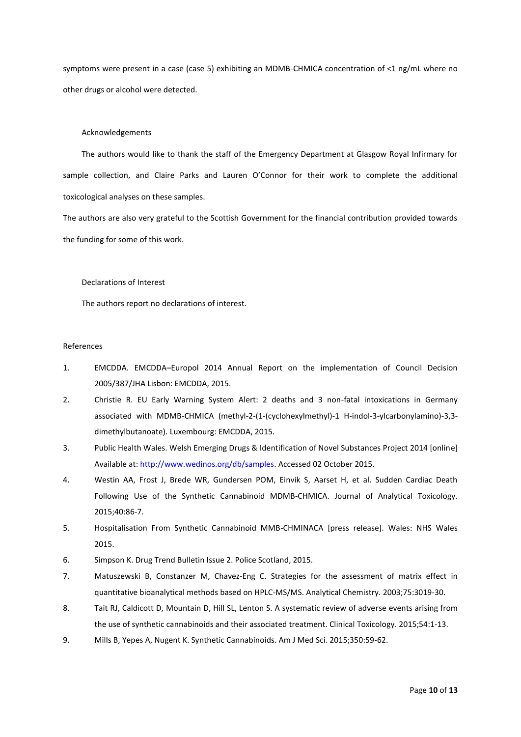symptoms were present in a case (case 5) exhibiting an MDMB-CHMICA concentration of <1 ng/mL where no other drugs or alcohol were detected.

## Acknowledgements

The authors would like to thank the staff of the Emergency Department at Glasgow Royal Infirmary for sample collection, and Claire Parks and Lauren O'Connor for their work to complete the additional toxicological analyses on these samples.

The authors are also very grateful to the Scottish Government for the financial contribution provided towards the funding for some of this work.

## Declarations of Interest

The authors report no declarations of interest.

## References

- 1. EMCDDA. EMCDDA–Europol 2014 Annual Report on the implementation of Council Decision 2005/387/JHA Lisbon: EMCDDA, 2015.
- 2. Christie R. EU Early Warning System Alert: 2 deaths and 3 non-fatal intoxications in Germany associated with MDMB-CHMICA (methyl-2-(1-(cyclohexylmethyl)-1 H-indol-3-ylcarbonylamino)-3,3 dimethylbutanoate). Luxembourg: EMCDDA, 2015.
- 3. Public Health Wales. Welsh Emerging Drugs & Identification of Novel Substances Project 2014 [online] Available at: [http://www.wedinos.org/db/samples.](http://www.wedinos.org/db/samples) Accessed 02 October 2015.
- 4. Westin AA, Frost J, Brede WR, Gundersen POM, Einvik S, Aarset H, et al. Sudden Cardiac Death Following Use of the Synthetic Cannabinoid MDMB-CHMICA. Journal of Analytical Toxicology. 2015;40:86-7.
- 5. Hospitalisation From Synthetic Cannabinoid MMB-CHMINACA [press release]. Wales: NHS Wales 2015.
- 6. Simpson K. Drug Trend Bulletin Issue 2. Police Scotland, 2015.
- 7. Matuszewski B, Constanzer M, Chavez-Eng C. Strategies for the assessment of matrix effect in quantitative bioanalytical methods based on HPLC-MS/MS. Analytical Chemistry. 2003;75:3019-30.
- 8. Tait RJ, Caldicott D, Mountain D, Hill SL, Lenton S. A systematic review of adverse events arising from the use of synthetic cannabinoids and their associated treatment. Clinical Toxicology. 2015;54:1-13.
- 9. Mills B, Yepes A, Nugent K. Synthetic Cannabinoids. Am J Med Sci. 2015;350:59-62.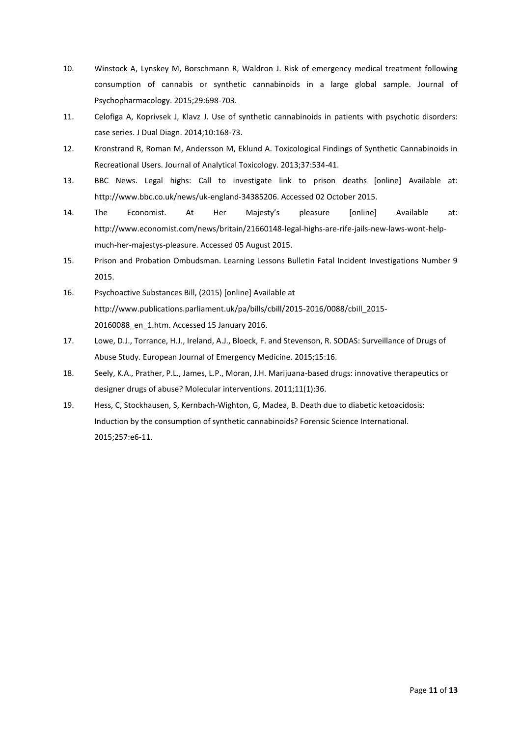- 10. Winstock A, Lynskey M, Borschmann R, Waldron J. Risk of emergency medical treatment following consumption of cannabis or synthetic cannabinoids in a large global sample. Journal of Psychopharmacology. 2015;29:698-703.
- 11. Celofiga A, Koprivsek J, Klavz J. Use of synthetic cannabinoids in patients with psychotic disorders: case series. J Dual Diagn. 2014;10:168-73.
- 12. Kronstrand R, Roman M, Andersson M, Eklund A. Toxicological Findings of Synthetic Cannabinoids in Recreational Users. Journal of Analytical Toxicology. 2013;37:534-41.
- 13. BBC News. Legal highs: Call to investigate link to prison deaths [online] Available at: http://www.bbc.co.uk/news/uk-england-34385206. Accessed 02 October 2015.
- 14. The Economist. At Her Majesty's pleasure [online] Available at: http://www.economist.com/news/britain/21660148-legal-highs-are-rife-jails-new-laws-wont-helpmuch-her-majestys-pleasure. Accessed 05 August 2015.
- 15. Prison and Probation Ombudsman. Learning Lessons Bulletin Fatal Incident Investigations Number 9 2015.
- 16. Psychoactive Substances Bill, (2015) [online] Available at http://www.publications.parliament.uk/pa/bills/cbill/2015-2016/0088/cbill\_2015- 20160088\_en\_1.htm. Accessed 15 January 2016.
- 17. Lowe, D.J., Torrance, H.J., Ireland, A.J., Bloeck, F. and Stevenson, R. SODAS: Surveillance of Drugs of Abuse Study. European Journal of Emergency Medicine. 2015;15:16.
- 18. Seely, K.A., Prather, P.L., James, L.P., Moran, J.H. Marijuana-based drugs: innovative therapeutics or designer drugs of abuse? Molecular interventions. 2011;11(1):36.
- 19. Hess, C, Stockhausen, S, Kernbach-Wighton, G, Madea, B. Death due to diabetic ketoacidosis: Induction by the consumption of synthetic cannabinoids? Forensic Science International. 2015;257:e6-11.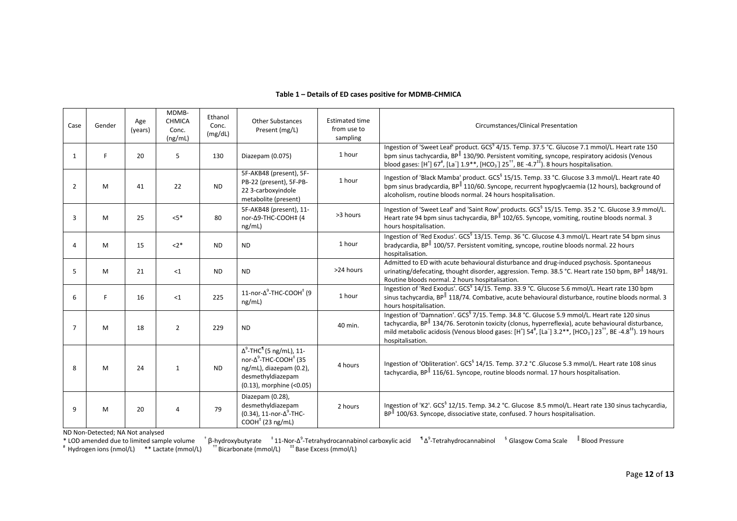# **Table 1 – Details of ED cases positive for MDMB-CHMICA**

| Case         | Gender | Age<br>(years) | MDMB-<br><b>CHMICA</b><br>Conc.<br>(ng/mL) | Ethanol<br>Conc.<br>(mg/dL) | <b>Other Substances</b><br>Present (mg/L)                                                                                                                           | <b>Estimated time</b><br>from use to<br>sampling | Circumstances/Clinical Presentation                                                                                                                                                                                                                                                                                                                                                                                           |
|--------------|--------|----------------|--------------------------------------------|-----------------------------|---------------------------------------------------------------------------------------------------------------------------------------------------------------------|--------------------------------------------------|-------------------------------------------------------------------------------------------------------------------------------------------------------------------------------------------------------------------------------------------------------------------------------------------------------------------------------------------------------------------------------------------------------------------------------|
| $\mathbf{1}$ |        | 20             | 5                                          | 130                         | Diazepam (0.075)                                                                                                                                                    | 1 hour                                           | Ingestion of 'Sweet Leaf' product. GCS <sup>§</sup> 4/15. Temp. 37.5 °C. Glucose 7.1 mmol/L. Heart rate 150<br>bpm sinus tachycardia, BP 130/90. Persistent vomiting, syncope, respiratory acidosis (Venous<br>blood gases: $[H^+]$ 67 <sup>#</sup> , [La <sup>-</sup> ] 1.9**, [HCO <sub>3</sub> <sup>-1</sup> , BE -4.7 <sup>‡‡</sup> ). 8 hours hospitalisation.                                                           |
| 2            | M      | 41             | 22                                         | <b>ND</b>                   | 5F-AKB48 (present), 5F-<br>PB-22 (present), 5F-PB-<br>22 3-carboxyindole<br>metabolite (present)                                                                    | 1 hour                                           | Ingestion of 'Black Mamba' product. GCS <sup>§</sup> 15/15. Temp. 33 °C. Glucose 3.3 mmol/L. Heart rate 40<br>bpm sinus bradycardia, BP <sup>  </sup> 110/60. Syncope, recurrent hypoglycaemia (12 hours), background of<br>alcoholism, routine bloods normal. 24 hours hospitalisation.                                                                                                                                      |
| 3            | M      | 25             | $5*$                                       | 80                          | 5F-AKB48 (present), 11-<br>nor-Δ9-THC-COOH‡ (4<br>ng/mL)                                                                                                            | >3 hours                                         | Ingestion of 'Sweet Leaf' and 'Saint Row' products. GCS <sup>§</sup> 15/15. Temp. 35.2 °C. Glucose 3.9 mmol/L.<br>Heart rate 94 bpm sinus tachycardia, BP <sup>  </sup> 102/65. Syncope, vomiting, routine bloods normal. 3<br>hours hospitalisation.                                                                                                                                                                         |
| 4            | M      | 15             | $2*$                                       | <b>ND</b>                   | <b>ND</b>                                                                                                                                                           | 1 hour                                           | Ingestion of 'Red Exodus'. GCS <sup>§</sup> 13/15. Temp. 36 °C. Glucose 4.3 mmol/L. Heart rate 54 bpm sinus<br>bradycardia, BP <sup>  </sup> 100/57. Persistent vomiting, syncope, routine bloods normal. 22 hours<br>hospitalisation.                                                                                                                                                                                        |
| 5            | M      | 21             | <1                                         | <b>ND</b>                   | <b>ND</b>                                                                                                                                                           | >24 hours                                        | Admitted to ED with acute behavioural disturbance and drug-induced psychosis. Spontaneous<br>urinating/defecating, thought disorder, aggression. Temp. 38.5 °C. Heart rate 150 bpm, BP <sup>  </sup> 148/91.<br>Routine bloods normal. 2 hours hospitalisation.                                                                                                                                                               |
| 6            |        | 16             | <1                                         | 225                         | $11$ -nor- $\Delta^9$ -THC-COOH $^{\ddagger}$ (9<br>ng/mL)                                                                                                          | 1 hour                                           | Ingestion of 'Red Exodus'. GCS <sup>§</sup> 14/15. Temp. 33.9 °C. Glucose 5.6 mmol/L. Heart rate 130 bpm<br>sinus tachycardia, BP <sup>  </sup> 118/74. Combative, acute behavioural disturbance, routine bloods normal. 3<br>hours hospitalisation.                                                                                                                                                                          |
| 7            | M      | 18             | $\overline{2}$                             | 229                         | <b>ND</b>                                                                                                                                                           | 40 min.                                          | Ingestion of 'Damnation'. GCS <sup>§</sup> 7/15. Temp. 34.8 °C. Glucose 5.9 mmol/L. Heart rate 120 sinus<br>tachycardia, BP <sup>  </sup> 134/76. Serotonin toxicity (clonus, hyperreflexia), acute behavioural disturbance,<br>mild metabolic acidosis (Venous blood gases: $[H^+]$ 54 <sup>#</sup> , [La <sup>-</sup> ] 3.2**, [HCO <sub>3</sub> ] 23 <sup>++</sup> , BE -4.8 <sup>‡‡</sup> ). 19 hours<br>hospitalisation. |
| 8            | M      | 24             | $\mathbf{1}$                               | <b>ND</b>                   | $\Delta^9$ -THC <sup>1</sup> (5 ng/mL), 11-<br>nor- $\Delta^9$ -THC-COOH $^*$ (35<br>ng/mL), diazepam (0.2),<br>desmethyldiazepam<br>$(0.13)$ , morphine $($ <0.05) | 4 hours                                          | Ingestion of 'Obliteration'. GCS <sup>§</sup> 14/15. Temp. 37.2 °C .Glucose 5.3 mmol/L. Heart rate 108 sinus<br>tachycardia, BP <sup>  </sup> 116/61. Syncope, routine bloods normal. 17 hours hospitalisation.                                                                                                                                                                                                               |
| 9            | M      | 20             | 4                                          | 79                          | Diazepam (0.28),<br>desmethyldiazepam<br>$(0.34)$ , 11-nor- $\Delta^9$ -THC-<br>$COOH+$ (23 ng/mL)                                                                  | 2 hours                                          | Ingestion of 'K2'. GCS <sup>§</sup> 12/15. Temp. 34.2 °C. Glucose 8.5 mmol/L. Heart rate 130 sinus tachycardia,<br>BP <sup>  </sup> 100/63. Syncope, dissociative state, confused. 7 hours hospitalisation.                                                                                                                                                                                                                   |

<span id="page-12-0"></span>ND Non-Detected; NA Not analysed

\* LOD amended due to limited sample volume and the yot of the voltative to the N-N-A<sup>9</sup>-Tetrahydrocannabinol carboxylic acid and A<sup>9</sup>-Tetrahydrocannabinol siglasgow Coma Scale and Blood Pressure # Hydrogen ions (nmol/L) \*\* Lactate (mmol/L) †† Bicarbonate (mmol/L) ‡‡ Base Excess (mmol/L)